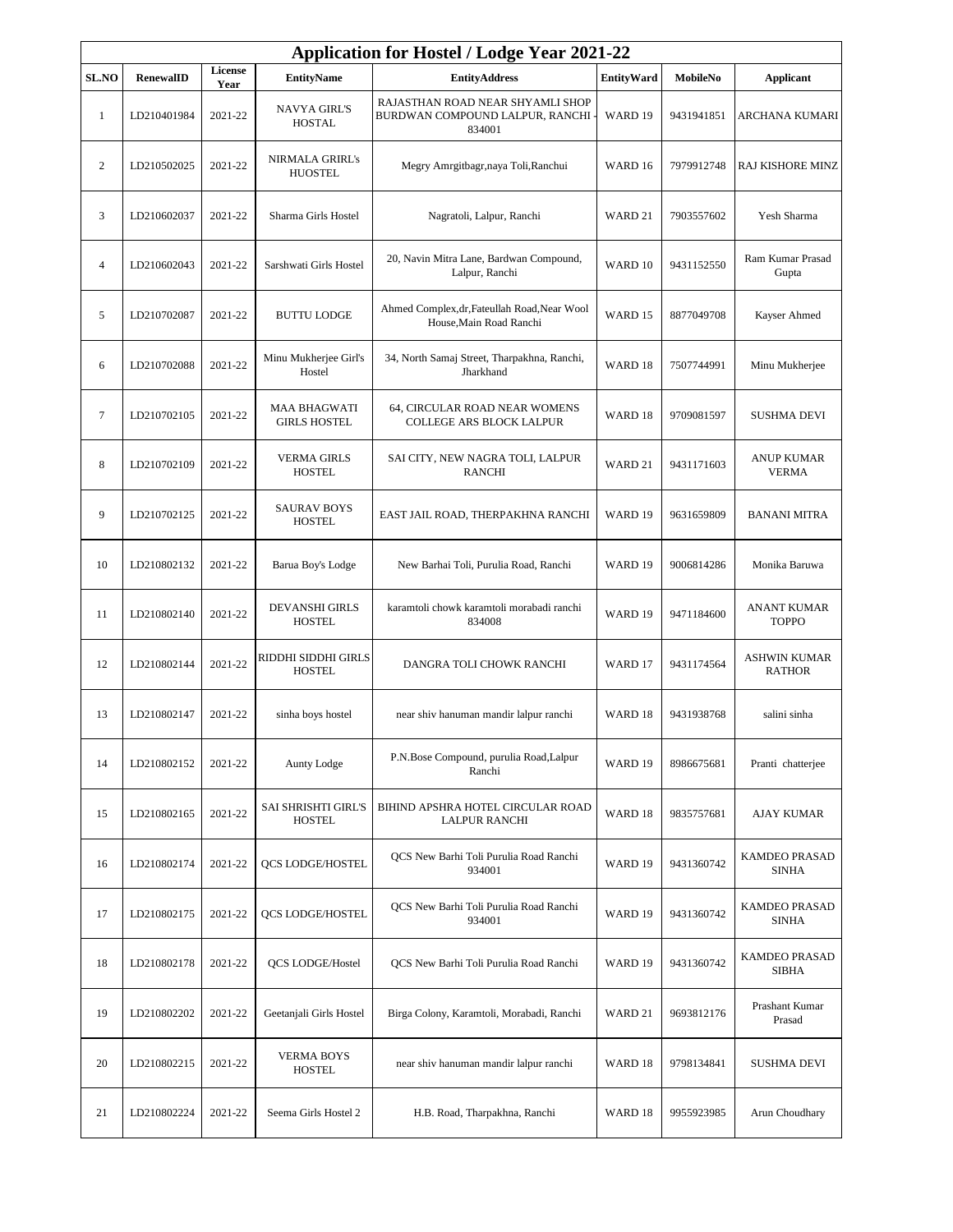| <b>Application for Hostel / Lodge Year 2021-22</b> |             |                 |                                             |                                                                               |                   |            |                                      |  |
|----------------------------------------------------|-------------|-----------------|---------------------------------------------|-------------------------------------------------------------------------------|-------------------|------------|--------------------------------------|--|
| <b>SL.NO</b>                                       | RenewalID   | License<br>Year | <b>EntityName</b>                           | <b>EntityAddress</b>                                                          | <b>EntityWard</b> | MobileNo   | <b>Applicant</b>                     |  |
| $\mathbf{1}$                                       | LD210401984 | 2021-22         | <b>NAVYA GIRL'S</b><br><b>HOSTAL</b>        | RAJASTHAN ROAD NEAR SHYAMLI SHOP<br>BURDWAN COMPOUND LALPUR, RANCHI<br>834001 | WARD 19           | 9431941851 | ARCHANA KUMARI                       |  |
| $\overline{2}$                                     | LD210502025 | 2021-22         | <b>NIRMALA GRIRL's</b><br><b>HUOSTEL</b>    | Megry Amrgitbagr, naya Toli, Ranchui                                          | WARD 16           | 7979912748 | RAJ KISHORE MINZ                     |  |
| 3                                                  | LD210602037 | 2021-22         | Sharma Girls Hostel                         | Nagratoli, Lalpur, Ranchi                                                     | WARD 21           | 7903557602 | Yesh Sharma                          |  |
| $\overline{4}$                                     | LD210602043 | 2021-22         | Sarshwati Girls Hostel                      | 20, Navin Mitra Lane, Bardwan Compound,<br>Lalpur, Ranchi                     | WARD 10           | 9431152550 | Ram Kumar Prasad<br>Gupta            |  |
| 5                                                  | LD210702087 | 2021-22         | <b>BUTTU LODGE</b>                          | Ahmed Complex, dr, Fateullah Road, Near Wool<br>House, Main Road Ranchi       | WARD 15           | 8877049708 | Kayser Ahmed                         |  |
| 6                                                  | LD210702088 | 2021-22         | Minu Mukherjee Girl's<br>Hostel             | 34, North Samaj Street, Tharpakhna, Ranchi,<br>Jharkhand                      | WARD 18           | 7507744991 | Minu Mukherjee                       |  |
| $\tau$                                             | LD210702105 | 2021-22         | <b>MAA BHAGWATI</b><br><b>GIRLS HOSTEL</b>  | 64, CIRCULAR ROAD NEAR WOMENS<br>COLLEGE ARS BLOCK LALPUR                     | WARD 18           | 9709081597 | <b>SUSHMA DEVI</b>                   |  |
| 8                                                  | LD210702109 | 2021-22         | <b>VERMA GIRLS</b><br><b>HOSTEL</b>         | SAI CITY, NEW NAGRA TOLI, LALPUR<br><b>RANCHI</b>                             | WARD 21           | 9431171603 | <b>ANUP KUMAR</b><br><b>VERMA</b>    |  |
| 9                                                  | LD210702125 | 2021-22         | <b>SAURAV BOYS</b><br><b>HOSTEL</b>         | EAST JAIL ROAD, THERPAKHNA RANCHI                                             | WARD 19           | 9631659809 | <b>BANANI MITRA</b>                  |  |
| 10                                                 | LD210802132 | 2021-22         | Barua Boy's Lodge                           | New Barhai Toli, Purulia Road, Ranchi                                         | WARD 19           | 9006814286 | Monika Baruwa                        |  |
| 11                                                 | LD210802140 | 2021-22         | <b>DEVANSHI GIRLS</b><br><b>HOSTEL</b>      | karamtoli chowk karamtoli morabadi ranchi<br>834008                           | WARD 19           | 9471184600 | <b>ANANT KUMAR</b><br><b>TOPPO</b>   |  |
| 12                                                 | LD210802144 | 2021-22         | RIDDHI SIDDHI GIRLS<br><b>HOSTEL</b>        | DANGRA TOLI CHOWK RANCHI                                                      | WARD 17           | 9431174564 | <b>ASHWIN KUMAR</b><br><b>RATHOR</b> |  |
| 13                                                 | LD210802147 | 2021-22         | sinha boys hostel                           | near shiv hanuman mandir lalpur ranchi                                        | WARD 18           | 9431938768 | salini sinha                         |  |
| 14                                                 | LD210802152 | 2021-22         | Aunty Lodge                                 | P.N.Bose Compound, purulia Road,Lalpur<br>Ranchi                              | WARD 19           | 8986675681 | Pranti chatterjee                    |  |
| 15                                                 | LD210802165 | 2021-22         | <b>SAI SHRISHTI GIRL'S</b><br><b>HOSTEL</b> | BIHIND APSHRA HOTEL CIRCULAR ROAD<br><b>LALPUR RANCHI</b>                     | WARD 18           | 9835757681 | AJAY KUMAR                           |  |
| 16                                                 | LD210802174 | 2021-22         | <b>OCS LODGE/HOSTEL</b>                     | QCS New Barhi Toli Purulia Road Ranchi<br>934001                              | WARD 19           | 9431360742 | KAMDEO PRASAD<br><b>SINHA</b>        |  |
| 17                                                 | LD210802175 | 2021-22         | <b>QCS LODGE/HOSTEL</b>                     | QCS New Barhi Toli Purulia Road Ranchi<br>934001                              | WARD 19           | 9431360742 | KAMDEO PRASAD<br><b>SINHA</b>        |  |
| 18                                                 | LD210802178 | 2021-22         | QCS LODGE/Hostel                            | QCS New Barhi Toli Purulia Road Ranchi                                        | WARD 19           | 9431360742 | KAMDEO PRASAD<br><b>SIBHA</b>        |  |
| 19                                                 | LD210802202 | 2021-22         | Geetanjali Girls Hostel                     | Birga Colony, Karamtoli, Morabadi, Ranchi                                     | WARD 21           | 9693812176 | Prashant Kumar<br>Prasad             |  |
| 20                                                 | LD210802215 | 2021-22         | <b>VERMA BOYS</b><br><b>HOSTEL</b>          | near shiv hanuman mandir lalpur ranchi                                        | WARD 18           | 9798134841 | <b>SUSHMA DEVI</b>                   |  |
| 21                                                 | LD210802224 | 2021-22         | Seema Girls Hostel 2                        | H.B. Road, Tharpakhna, Ranchi                                                 | WARD 18           | 9955923985 | Arun Choudhary                       |  |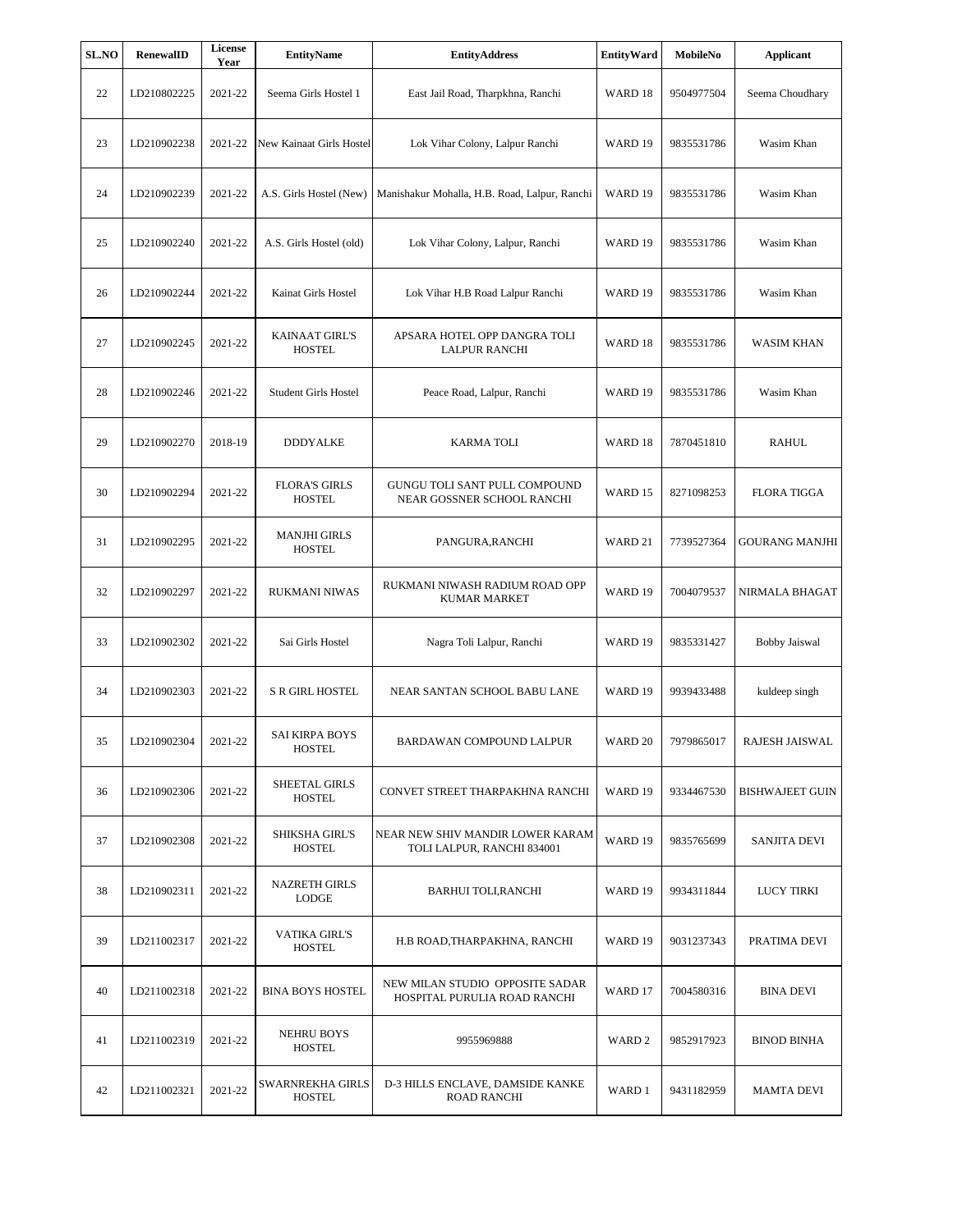| SL.NO | RenewalID   | License<br>Year | <b>EntityName</b>                      | <b>EntityAddress</b>                                               | <b>EntityWard</b> | MobileNo   | <b>Applicant</b>       |
|-------|-------------|-----------------|----------------------------------------|--------------------------------------------------------------------|-------------------|------------|------------------------|
| 22    | LD210802225 | 2021-22         | Seema Girls Hostel 1                   | East Jail Road, Tharpkhna, Ranchi                                  | WARD 18           | 9504977504 | Seema Choudhary        |
| 23    | LD210902238 | 2021-22         | New Kainaat Girls Hostel               | Lok Vihar Colony, Lalpur Ranchi                                    | WARD 19           | 9835531786 | Wasim Khan             |
| 24    | LD210902239 | 2021-22         | A.S. Girls Hostel (New)                | Manishakur Mohalla, H.B. Road, Lalpur, Ranchi                      | WARD 19           | 9835531786 | Wasim Khan             |
| 25    | LD210902240 | 2021-22         | A.S. Girls Hostel (old)                | Lok Vihar Colony, Lalpur, Ranchi                                   | WARD 19           | 9835531786 | Wasim Khan             |
| 26    | LD210902244 | 2021-22         | Kainat Girls Hostel                    | Lok Vihar H.B Road Lalpur Ranchi                                   | WARD 19           | 9835531786 | Wasim Khan             |
| 27    | LD210902245 | 2021-22         | <b>KAINAAT GIRL'S</b><br><b>HOSTEL</b> | APSARA HOTEL OPP DANGRA TOLI<br><b>LALPUR RANCHI</b>               | WARD 18           | 9835531786 | <b>WASIM KHAN</b>      |
| 28    | LD210902246 | 2021-22         | Student Girls Hostel                   | Peace Road, Lalpur, Ranchi                                         | WARD 19           | 9835531786 | Wasim Khan             |
| 29    | LD210902270 | 2018-19         | <b>DDDYALKE</b>                        | <b>KARMA TOLI</b>                                                  | WARD 18           | 7870451810 | <b>RAHUL</b>           |
| 30    | LD210902294 | 2021-22         | <b>FLORA'S GIRLS</b><br><b>HOSTEL</b>  | <b>GUNGU TOLI SANT PULL COMPOUND</b><br>NEAR GOSSNER SCHOOL RANCHI | WARD 15           | 8271098253 | <b>FLORA TIGGA</b>     |
| 31    | LD210902295 | 2021-22         | <b>MANJHI GIRLS</b><br><b>HOSTEL</b>   | PANGURA,RANCHI                                                     | WARD 21           | 7739527364 | GOURANG MANJHI         |
| 32    | LD210902297 | 2021-22         | RUKMANI NIWAS                          | RUKMANI NIWASH RADIUM ROAD OPP<br><b>KUMAR MARKET</b>              | WARD 19           | 7004079537 | NIRMALA BHAGAT         |
| 33    | LD210902302 | 2021-22         | Sai Girls Hostel                       | Nagra Toli Lalpur, Ranchi                                          | WARD 19           | 9835331427 | <b>Bobby Jaiswal</b>   |
| 34    | LD210902303 | 2021-22         | <b>S R GIRL HOSTEL</b>                 | NEAR SANTAN SCHOOL BABU LANE                                       | WARD 19           | 9939433488 | kuldeep singh          |
| 35    | LD210902304 | 2021-22         | <b>SAI KIRPA BOYS</b><br><b>HOSTEL</b> | BARDAWAN COMPOUND LALPUR                                           | WARD 20           | 7979865017 | RAJESH JAISWAL         |
| 36    | LD210902306 | 2021-22         | SHEETAL GIRLS<br><b>HOSTEL</b>         | CONVET STREET THARPAKHNA RANCHI                                    | WARD 19           | 9334467530 | <b>BISHWAJEET GUIN</b> |
| 37    | LD210902308 | 2021-22         | <b>SHIKSHA GIRL'S</b><br><b>HOSTEL</b> | NEAR NEW SHIV MANDIR LOWER KARAM<br>TOLI LALPUR, RANCHI 834001     | WARD 19           | 9835765699 | <b>SANJITA DEVI</b>    |
| 38    | LD210902311 | 2021-22         | <b>NAZRETH GIRLS</b><br><b>LODGE</b>   | <b>BARHUI TOLI, RANCHI</b>                                         | WARD 19           | 9934311844 | <b>LUCY TIRKI</b>      |
| 39    | LD211002317 | 2021-22         | <b>VATIKA GIRL'S</b><br><b>HOSTEL</b>  | H.B ROAD, THARPAKHNA, RANCHI                                       | WARD 19           | 9031237343 | PRATIMA DEVI           |
| 40    | LD211002318 | 2021-22         | <b>BINA BOYS HOSTEL</b>                | NEW MILAN STUDIO OPPOSITE SADAR<br>HOSPITAL PURULIA ROAD RANCHI    | WARD 17           | 7004580316 | <b>BINA DEVI</b>       |
| 41    | LD211002319 | 2021-22         | <b>NEHRU BOYS</b><br><b>HOSTEL</b>     | 9955969888                                                         | WARD <sub>2</sub> | 9852917923 | BINOD BINHA            |
| 42    | LD211002321 | 2021-22         | SWARNREKHA GIRLS<br><b>HOSTEL</b>      | D-3 HILLS ENCLAVE, DAMSIDE KANKE<br><b>ROAD RANCHI</b>             | WARD 1            | 9431182959 | MAMTA DEVI             |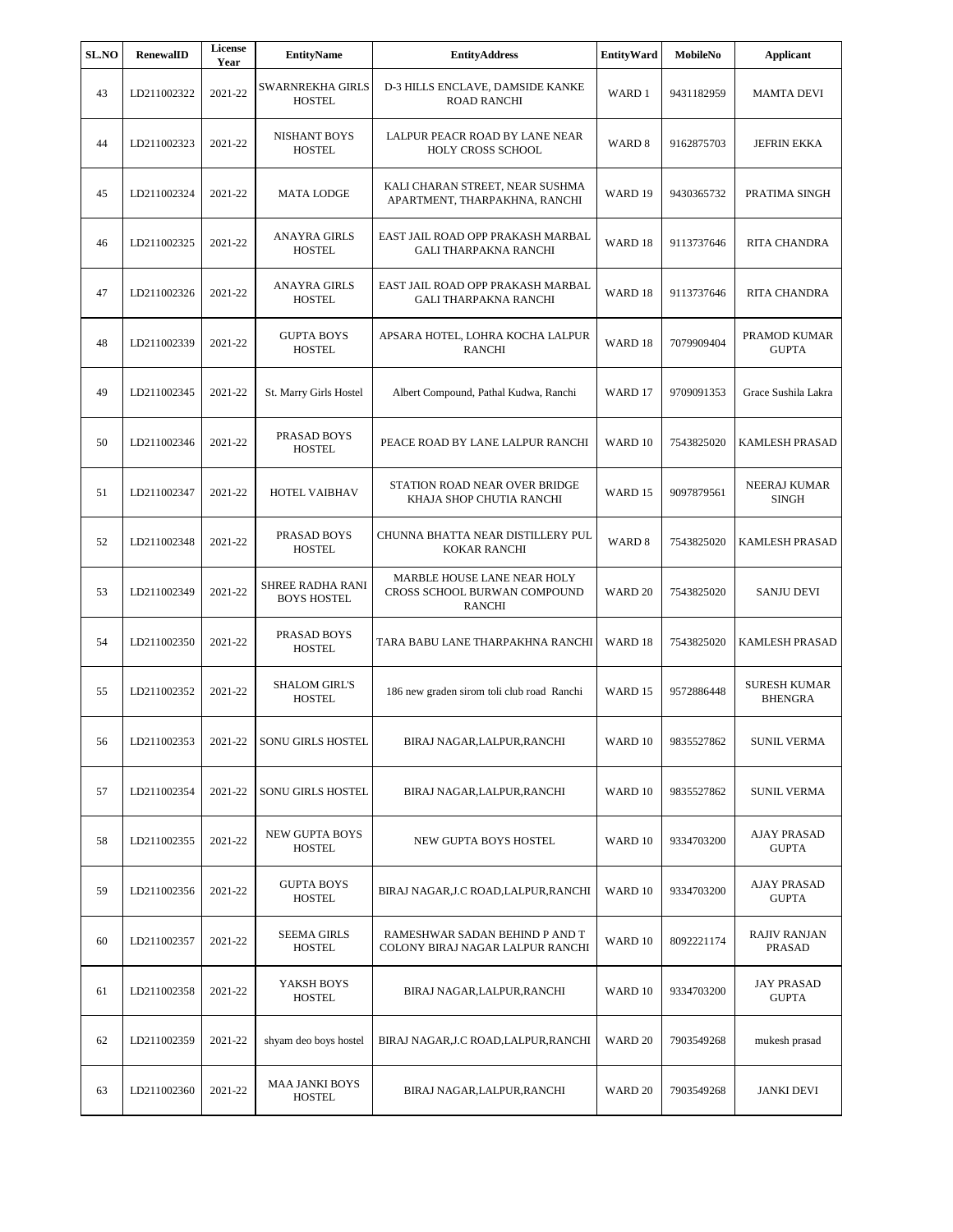| <b>SL.NO</b> | RenewalID   | <b>License</b><br>Year | <b>EntityName</b>                      | <b>EntityAddress</b>                                                         | <b>EntityWard</b>  | MobileNo   | <b>Applicant</b>                      |
|--------------|-------------|------------------------|----------------------------------------|------------------------------------------------------------------------------|--------------------|------------|---------------------------------------|
| 43           | LD211002322 | 2021-22                | SWARNREKHA GIRLS<br><b>HOSTEL</b>      | D-3 HILLS ENCLAVE, DAMSIDE KANKE<br><b>ROAD RANCHI</b>                       | WARD 1             | 9431182959 | <b>MAMTA DEVI</b>                     |
| 44           | LD211002323 | 2021-22                | <b>NISHANT BOYS</b><br><b>HOSTEL</b>   | LALPUR PEACR ROAD BY LANE NEAR<br><b>HOLY CROSS SCHOOL</b>                   | WARD <sub>8</sub>  | 9162875703 | <b>JEFRIN EKKA</b>                    |
| 45           | LD211002324 | 2021-22                | <b>MATA LODGE</b>                      | KALI CHARAN STREET, NEAR SUSHMA<br>APARTMENT, THARPAKHNA, RANCHI             | WARD 19            | 9430365732 | PRATIMA SINGH                         |
| 46           | LD211002325 | 2021-22                | <b>ANAYRA GIRLS</b><br><b>HOSTEL</b>   | EAST JAIL ROAD OPP PRAKASH MARBAL<br><b>GALI THARPAKNA RANCHI</b>            | WARD 18            | 9113737646 | RITA CHANDRA                          |
| 47           | LD211002326 | 2021-22                | ANAYRA GIRLS<br><b>HOSTEL</b>          | EAST JAIL ROAD OPP PRAKASH MARBAL<br>GALI THARPAKNA RANCHI                   | WARD 18            | 9113737646 | <b>RITA CHANDRA</b>                   |
| 48           | LD211002339 | 2021-22                | <b>GUPTA BOYS</b><br><b>HOSTEL</b>     | APSARA HOTEL, LOHRA KOCHA LALPUR<br><b>RANCHI</b>                            | WARD 18            | 7079909404 | PRAMOD KUMAR<br><b>GUPTA</b>          |
| 49           | LD211002345 | 2021-22                | St. Marry Girls Hostel                 | Albert Compound, Pathal Kudwa, Ranchi                                        | WARD 17            | 9709091353 | Grace Sushila Lakra                   |
| 50           | LD211002346 | 2021-22                | PRASAD BOYS<br><b>HOSTEL</b>           | PEACE ROAD BY LANE LALPUR RANCHI                                             | WARD 10            | 7543825020 | <b>KAMLESH PRASAD</b>                 |
| 51           | LD211002347 | 2021-22                | HOTEL VAIBHAV                          | STATION ROAD NEAR OVER BRIDGE<br>KHAJA SHOP CHUTIA RANCHI                    | WARD 15            | 9097879561 | <b>NEERAJ KUMAR</b><br>SINGH          |
| 52           | LD211002348 | 2021-22                | PRASAD BOYS<br><b>HOSTEL</b>           | CHUNNA BHATTA NEAR DISTILLERY PUL<br><b>KOKAR RANCHI</b>                     | WARD <sub>8</sub>  | 7543825020 | KAMLESH PRASAD                        |
| 53           | LD211002349 | 2021-22                | SHREE RADHA RANI<br><b>BOYS HOSTEL</b> | MARBLE HOUSE LANE NEAR HOLY<br>CROSS SCHOOL BURWAN COMPOUND<br><b>RANCHI</b> | WARD <sub>20</sub> | 7543825020 | <b>SANJU DEVI</b>                     |
| 54           | LD211002350 | 2021-22                | PRASAD BOYS<br><b>HOSTEL</b>           | TARA BABU LANE THARPAKHNA RANCHI                                             | WARD 18            | 7543825020 | KAMLESH PRASAD                        |
| 55           | LD211002352 | 2021-22                | <b>SHALOM GIRL'S</b><br><b>HOSTEL</b>  | 186 new graden sirom toli club road Ranchi                                   | WARD 15            | 9572886448 | <b>SURESH KUMAR</b><br><b>BHENGRA</b> |
| 56           | LD211002353 | 2021-22                | SONU GIRLS HOSTEL                      | BIRAJ NAGAR,LALPUR,RANCHI                                                    | WARD 10            | 9835527862 | <b>SUNIL VERMA</b>                    |
| 57           | LD211002354 | 2021-22                | <b>SONU GIRLS HOSTEL</b>               | BIRAJ NAGAR, LALPUR, RANCHI                                                  | WARD 10            | 9835527862 | SUNIL VERMA                           |
| 58           | LD211002355 | 2021-22                | NEW GUPTA BOYS<br><b>HOSTEL</b>        | NEW GUPTA BOYS HOSTEL                                                        | WARD 10            | 9334703200 | AJAY PRASAD<br><b>GUPTA</b>           |
| 59           | LD211002356 | 2021-22                | <b>GUPTA BOYS</b><br><b>HOSTEL</b>     | BIRAJ NAGAR, J.C ROAD, LALPUR, RANCHI                                        | WARD 10            | 9334703200 | AJAY PRASAD<br><b>GUPTA</b>           |
| 60           | LD211002357 | 2021-22                | <b>SEEMA GIRLS</b><br><b>HOSTEL</b>    | RAMESHWAR SADAN BEHIND P AND T<br>COLONY BIRAJ NAGAR LALPUR RANCHI           | WARD 10            | 8092221174 | <b>RAJIV RANJAN</b><br><b>PRASAD</b>  |
| 61           | LD211002358 | 2021-22                | YAKSH BOYS<br><b>HOSTEL</b>            | BIRAJ NAGAR, LALPUR, RANCHI                                                  | WARD 10            | 9334703200 | <b>JAY PRASAD</b><br><b>GUPTA</b>     |
| 62           | LD211002359 | 2021-22                | shyam deo boys hostel                  | BIRAJ NAGAR, J.C ROAD, LALPUR, RANCHI                                        | WARD <sub>20</sub> | 7903549268 | mukesh prasad                         |
| 63           | LD211002360 | 2021-22                | <b>MAA JANKI BOYS</b><br><b>HOSTEL</b> | BIRAJ NAGAR, LALPUR, RANCHI                                                  | WARD <sub>20</sub> | 7903549268 | <b>JANKI DEVI</b>                     |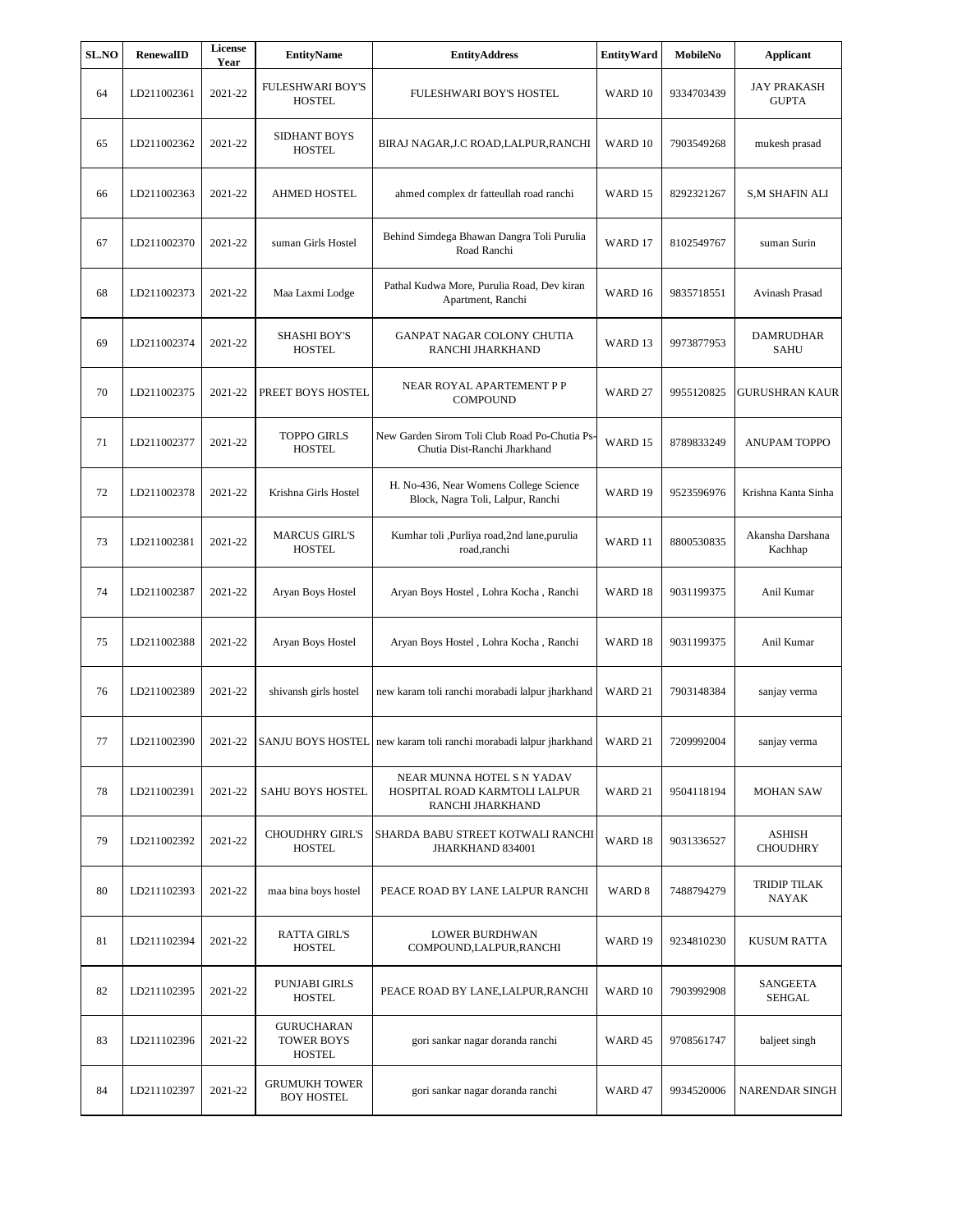| <b>SL.NO</b> | RenewalID   | License<br>Year | <b>EntityName</b>                                       | <b>EntityAddress</b>                                                            | <b>EntityWard</b> | MobileNo   | <b>Applicant</b>                   |
|--------------|-------------|-----------------|---------------------------------------------------------|---------------------------------------------------------------------------------|-------------------|------------|------------------------------------|
| 64           | LD211002361 | 2021-22         | <b>FULESHWARI BOY'S</b><br><b>HOSTEL</b>                | FULESHWARI BOY'S HOSTEL                                                         | WARD 10           | 9334703439 | <b>JAY PRAKASH</b><br><b>GUPTA</b> |
| 65           | LD211002362 | 2021-22         | SIDHANT BOYS<br><b>HOSTEL</b>                           | BIRAJ NAGAR, J.C ROAD, LALPUR, RANCHI                                           | WARD 10           | 7903549268 | mukesh prasad                      |
| 66           | LD211002363 | 2021-22         | <b>AHMED HOSTEL</b>                                     | ahmed complex dr fatteullah road ranchi                                         | WARD 15           | 8292321267 | <b>S,M SHAFIN ALI</b>              |
| 67           | LD211002370 | 2021-22         | suman Girls Hostel                                      | Behind Simdega Bhawan Dangra Toli Purulia<br>Road Ranchi                        | WARD 17           | 8102549767 | suman Surin                        |
| 68           | LD211002373 | 2021-22         | Maa Laxmi Lodge                                         | Pathal Kudwa More, Purulia Road, Dev kiran<br>Apartment, Ranchi                 | WARD 16           | 9835718551 | Avinash Prasad                     |
| 69           | LD211002374 | 2021-22         | <b>SHASHI BOY'S</b><br><b>HOSTEL</b>                    | GANPAT NAGAR COLONY CHUTIA<br>RANCHI JHARKHAND                                  | WARD 13           | 9973877953 | DAMRUDHAR<br><b>SAHU</b>           |
| 70           | LD211002375 | 2021-22         | PREET BOYS HOSTEL                                       | NEAR ROYAL APARTEMENT P P<br><b>COMPOUND</b>                                    | WARD 27           | 9955120825 | GURUSHRAN KAUR                     |
| 71           | LD211002377 | 2021-22         | <b>TOPPO GIRLS</b><br><b>HOSTEL</b>                     | New Garden Sirom Toli Club Road Po-Chutia Ps-<br>Chutia Dist-Ranchi Jharkhand   | WARD 15           | 8789833249 | ANUPAM TOPPO                       |
| 72           | LD211002378 | 2021-22         | Krishna Girls Hostel                                    | H. No-436, Near Womens College Science<br>Block, Nagra Toli, Lalpur, Ranchi     | WARD 19           | 9523596976 | Krishna Kanta Sinha                |
| 73           | LD211002381 | 2021-22         | <b>MARCUS GIRL'S</b><br><b>HOSTEL</b>                   | Kumhar toli ,Purliya road,2nd lane,purulia<br>road, ranchi                      | WARD 11           | 8800530835 | Akansha Darshana<br>Kachhap        |
| 74           | LD211002387 | 2021-22         | Aryan Boys Hostel                                       | Aryan Boys Hostel, Lohra Kocha, Ranchi                                          | WARD 18           | 9031199375 | Anil Kumar                         |
| 75           | LD211002388 | 2021-22         | Aryan Boys Hostel                                       | Aryan Boys Hostel, Lohra Kocha, Ranchi                                          | WARD 18           | 9031199375 | Anil Kumar                         |
| 76           | LD211002389 | 2021-22         | shivansh girls hostel                                   | new karam toli ranchi morabadi lalpur jharkhand                                 | WARD 21           | 7903148384 | sanjay verma                       |
| 77           | LD211002390 | 2021-22         |                                                         | SANJU BOYS HOSTEL new karam toli ranchi morabadi lalpur jharkhand               | WARD 21           | 7209992004 | sanjay verma                       |
| 78           | LD211002391 | 2021-22         | SAHU BOYS HOSTEL                                        | NEAR MUNNA HOTEL S N YADAV<br>HOSPITAL ROAD KARMTOLI LALPUR<br>RANCHI JHARKHAND | WARD 21           | 9504118194 | <b>MOHAN SAW</b>                   |
| 79           | LD211002392 | 2021-22         | <b>CHOUDHRY GIRL'S</b><br><b>HOSTEL</b>                 | SHARDA BABU STREET KOTWALI RANCHI<br>JHARKHAND 834001                           | WARD 18           | 9031336527 | ASHISH<br>CHOUDHRY                 |
| 80           | LD211102393 | 2021-22         | maa bina boys hostel                                    | PEACE ROAD BY LANE LALPUR RANCHI                                                | WARD <sub>8</sub> | 7488794279 | TRIDIP TILAK<br>NAYAK              |
| 81           | LD211102394 | 2021-22         | <b>RATTA GIRL'S</b><br><b>HOSTEL</b>                    | LOWER BURDHWAN<br>COMPOUND, LALPUR, RANCHI                                      | WARD 19           | 9234810230 | <b>KUSUM RATTA</b>                 |
| 82           | LD211102395 | 2021-22         | <b>PUNJABI GIRLS</b><br><b>HOSTEL</b>                   | PEACE ROAD BY LANE, LALPUR, RANCHI                                              | WARD 10           | 7903992908 | <b>SANGEETA</b><br><b>SEHGAL</b>   |
| 83           | LD211102396 | 2021-22         | <b>GURUCHARAN</b><br><b>TOWER BOYS</b><br><b>HOSTEL</b> | gori sankar nagar doranda ranchi                                                | WARD 45           | 9708561747 | baljeet singh                      |
| 84           | LD211102397 | 2021-22         | <b>GRUMUKH TOWER</b><br><b>BOY HOSTEL</b>               | gori sankar nagar doranda ranchi                                                | WARD 47           | 9934520006 | NARENDAR SINGH                     |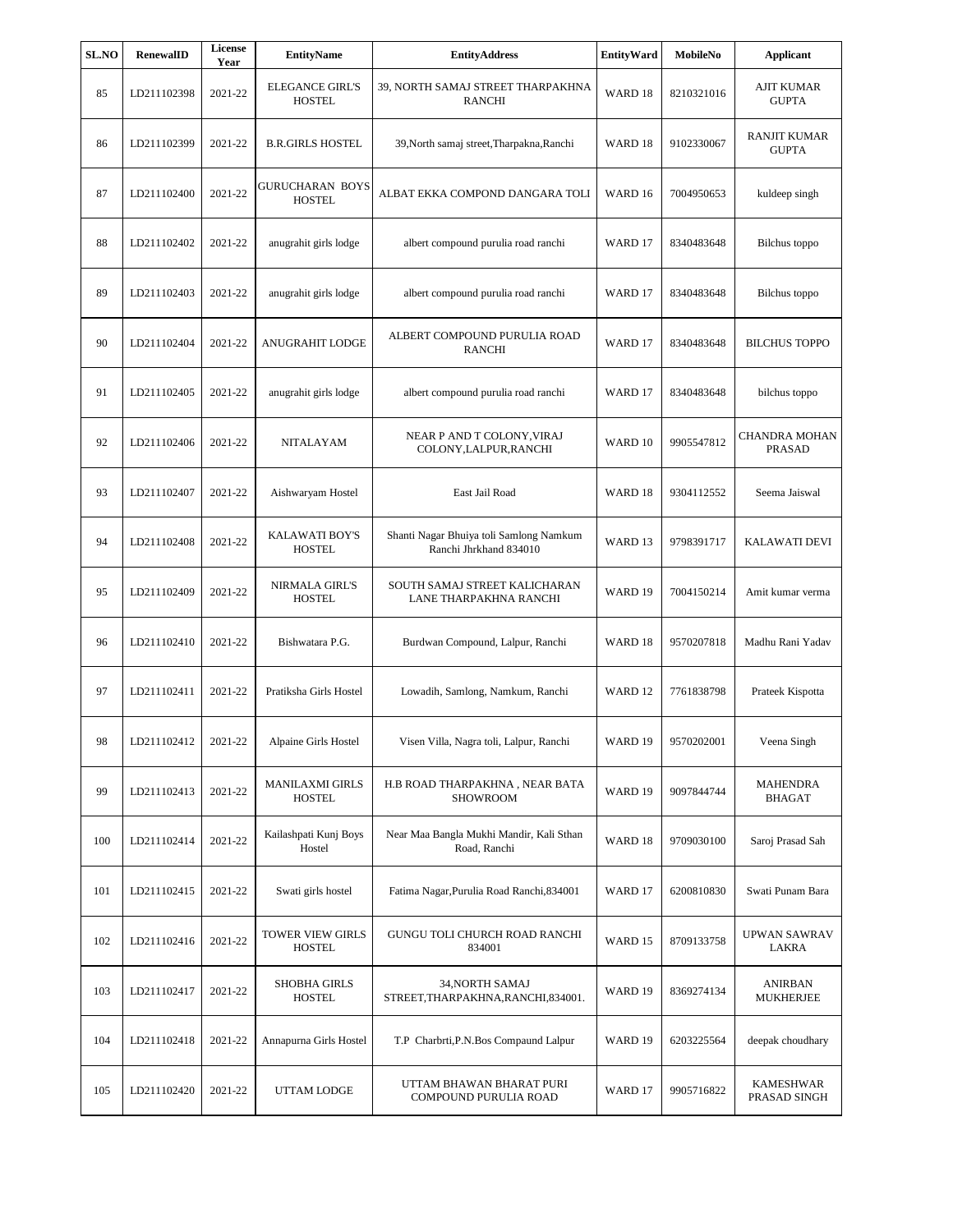| <b>SL.NO</b> | RenewalID   | License<br>Year | <b>EntityName</b>                        | <b>EntityAddress</b>                                              | <b>EntityWard</b>  | MobileNo   | <b>Applicant</b>                    |
|--------------|-------------|-----------------|------------------------------------------|-------------------------------------------------------------------|--------------------|------------|-------------------------------------|
| 85           | LD211102398 | 2021-22         | <b>ELEGANCE GIRL'S</b><br><b>HOSTEL</b>  | 39, NORTH SAMAJ STREET THARPAKHNA<br><b>RANCHI</b>                | WARD 18            | 8210321016 | <b>AJIT KUMAR</b><br><b>GUPTA</b>   |
| 86           | LD211102399 | 2021-22         | <b>B.R.GIRLS HOSTEL</b>                  | 39, North samaj street, Tharpakna, Ranchi                         | WARD 18            | 9102330067 | <b>RANJIT KUMAR</b><br><b>GUPTA</b> |
| 87           | LD211102400 | 2021-22         | GURUCHARAN BOYS<br><b>HOSTEL</b>         | ALBAT EKKA COMPOND DANGARA TOLI                                   | WARD 16            | 7004950653 | kuldeep singh                       |
| 88           | LD211102402 | 2021-22         | anugrahit girls lodge                    | albert compound purulia road ranchi                               | WARD 17            | 8340483648 | Bilchus toppo                       |
| 89           | LD211102403 | 2021-22         | anugrahit girls lodge                    | albert compound purulia road ranchi                               | WARD 17            | 8340483648 | Bilchus toppo                       |
| 90           | LD211102404 | 2021-22         | <b>ANUGRAHIT LODGE</b>                   | ALBERT COMPOUND PURULIA ROAD<br><b>RANCHI</b>                     | WARD 17            | 8340483648 | <b>BILCHUS TOPPO</b>                |
| 91           | LD211102405 | 2021-22         | anugrahit girls lodge                    | albert compound purulia road ranchi                               | WARD 17            | 8340483648 | bilchus toppo                       |
| 92           | LD211102406 | 2021-22         | NITALAYAM                                | NEAR P AND T COLONY, VIRAJ<br>COLONY,LALPUR,RANCHI                | WARD 10            | 9905547812 | CHANDRA MOHAN<br><b>PRASAD</b>      |
| 93           | LD211102407 | 2021-22         | Aishwaryam Hostel                        | East Jail Road                                                    | WARD 18            | 9304112552 | Seema Jaiswal                       |
| 94           | LD211102408 | 2021-22         | <b>KALAWATI BOY'S</b><br><b>HOSTEL</b>   | Shanti Nagar Bhuiya toli Samlong Namkum<br>Ranchi Jhrkhand 834010 | WARD 13            | 9798391717 | KALAWATI DEVI                       |
| 95           | LD211102409 | 2021-22         | NIRMALA GIRL'S<br><b>HOSTEL</b>          | SOUTH SAMAJ STREET KALICHARAN<br>LANE THARPAKHNA RANCHI           | WARD 19            | 7004150214 | Amit kumar verma                    |
| 96           | LD211102410 | 2021-22         | Bishwatara P.G.                          | Burdwan Compound, Lalpur, Ranchi                                  | WARD 18            | 9570207818 | Madhu Rani Yadav                    |
| 97           | LD211102411 | 2021-22         | Pratiksha Girls Hostel                   | Lowadih, Samlong, Namkum, Ranchi                                  | WARD <sub>12</sub> | 7761838798 | Prateek Kispotta                    |
| 98           | LD211102412 | 2021-22         | Alpaine Girls Hostel                     | Visen Villa, Nagra toli, Lalpur, Ranchi                           | WARD 19            | 9570202001 | Veena Singh                         |
| 99           | LD211102413 | 2021-22         | <b>MANILAXMI GIRLS</b><br>HOSTEL         | H.B ROAD THARPAKHNA, NEAR BATA<br><b>SHOWROOM</b>                 | WARD 19            | 9097844744 | <b>MAHENDRA</b><br><b>BHAGAT</b>    |
| 100          | LD211102414 | 2021-22         | Kailashpati Kunj Boys<br>Hostel          | Near Maa Bangla Mukhi Mandir, Kali Sthan<br>Road, Ranchi          | WARD 18            | 9709030100 | Saroj Prasad Sah                    |
| 101          | LD211102415 | 2021-22         | Swati girls hostel                       | Fatima Nagar, Purulia Road Ranchi, 834001                         | WARD 17            | 6200810830 | Swati Punam Bara                    |
| 102          | LD211102416 | 2021-22         | <b>TOWER VIEW GIRLS</b><br><b>HOSTEL</b> | GUNGU TOLI CHURCH ROAD RANCHI<br>834001                           | WARD 15            | 8709133758 | <b>UPWAN SAWRAV</b><br>LAKRA        |
| 103          | LD211102417 | 2021-22         | <b>SHOBHA GIRLS</b><br><b>HOSTEL</b>     | 34, NORTH SAMAJ<br>STREET, THARPAKHNA, RANCHI, 834001.            | WARD 19            | 8369274134 | ANIRBAN<br><b>MUKHERJEE</b>         |
| 104          | LD211102418 | 2021-22         | Annapurna Girls Hostel                   | T.P Charbrti, P.N. Bos Compaund Lalpur                            | WARD 19            | 6203225564 | deepak choudhary                    |
| 105          | LD211102420 | 2021-22         | UTTAM LODGE                              | UTTAM BHAWAN BHARAT PURI<br>COMPOUND PURULIA ROAD                 | WARD 17            | 9905716822 | <b>KAMESHWAR</b><br>PRASAD SINGH    |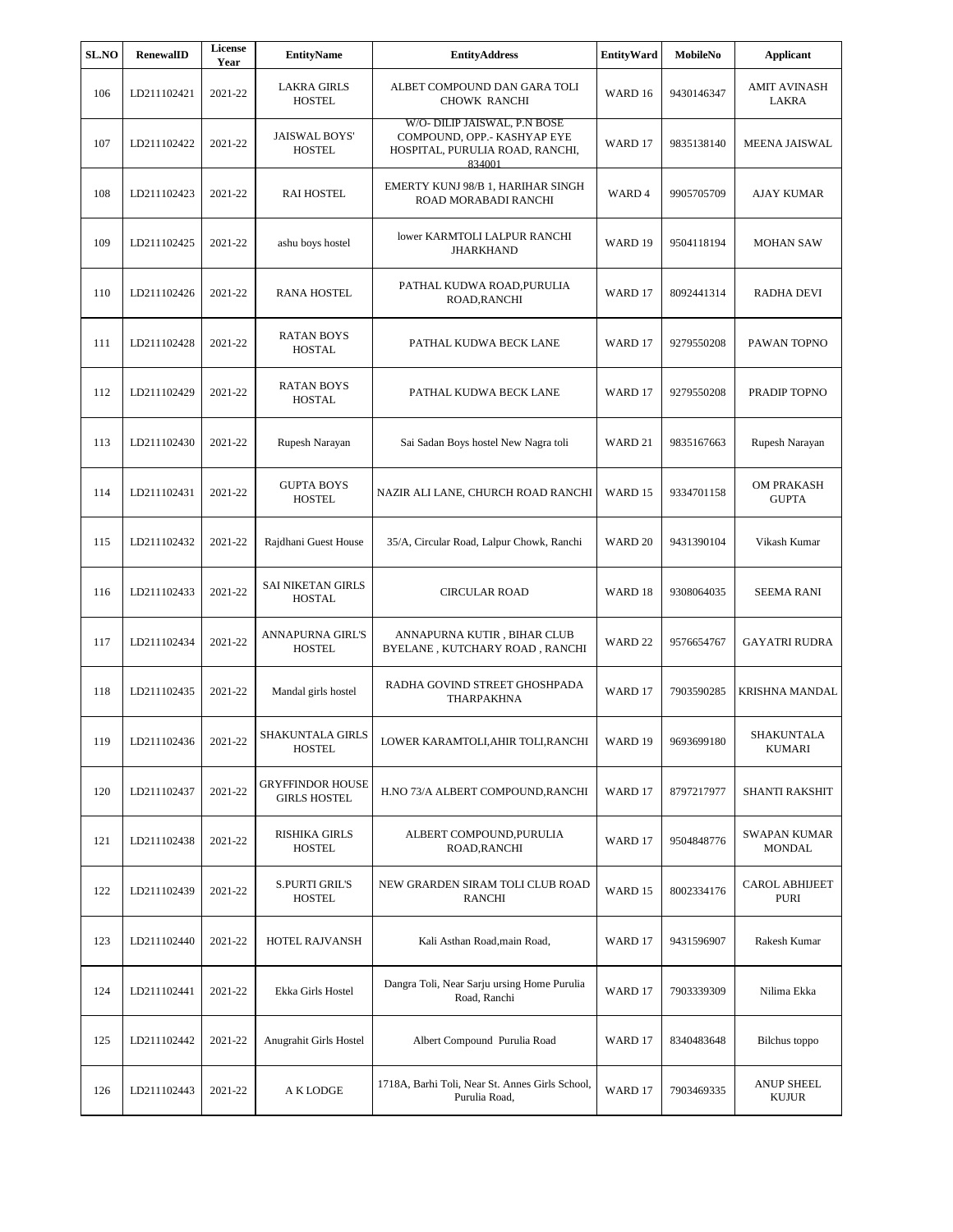| <b>SL.NO</b> | RenewalID           | <b>License</b><br>Year | <b>EntityName</b>                              | <b>EntityAddress</b>                                                                                     | <b>EntityWard</b>  | MobileNo           | <b>Applicant</b>                  |
|--------------|---------------------|------------------------|------------------------------------------------|----------------------------------------------------------------------------------------------------------|--------------------|--------------------|-----------------------------------|
| 106          | LD211102421         | 2021-22                | <b>LAKRA GIRLS</b><br><b>HOSTEL</b>            | ALBET COMPOUND DAN GARA TOLI<br><b>CHOWK RANCHI</b>                                                      | WARD 16            | 9430146347         | <b>AMIT AVINASH</b><br>LAKRA      |
| 107          | LD211102422         | 2021-22                | <b>JAISWAL BOYS'</b><br><b>HOSTEL</b>          | W/O- DILIP JAISWAL, P.N BOSE<br>COMPOUND, OPP.- KASHYAP EYE<br>HOSPITAL, PURULIA ROAD, RANCHI,<br>834001 | WARD 17            | 9835138140         | <b>MEENA JAISWAL</b>              |
| 108          | LD211102423         | 2021-22                | <b>RAI HOSTEL</b>                              | EMERTY KUNJ 98/B 1, HARIHAR SINGH<br>ROAD MORABADI RANCHI                                                | WARD 4             | 9905705709         | AJAY KUMAR                        |
| 109          | LD211102425         | 2021-22                | ashu boys hostel                               | lower KARMTOLI LALPUR RANCHI<br><b>JHARKHAND</b>                                                         | WARD 19            | 9504118194         | <b>MOHAN SAW</b>                  |
| 110          | LD211102426         | 2021-22                | <b>RANA HOSTEL</b>                             | PATHAL KUDWA ROAD,PURULIA<br>ROAD, RANCHI                                                                | WARD 17            | 8092441314         | RADHA DEVI                        |
| 111          | LD211102428         | 2021-22                | RATAN BOYS<br><b>HOSTAL</b>                    | PATHAL KUDWA BECK LANE                                                                                   | WARD 17            | 9279550208         | PAWAN TOPNO                       |
| 112          | LD211102429         | 2021-22                | <b>RATAN BOYS</b><br><b>HOSTAL</b>             | PATHAL KUDWA BECK LANE                                                                                   | WARD 17            | 9279550208         | PRADIP TOPNO                      |
| 113          | LD211102430         | 2021-22                | Rupesh Narayan                                 | Sai Sadan Boys hostel New Nagra toli                                                                     | WARD 21            | 9835167663         | Rupesh Narayan                    |
| 114          | LD211102431         | 2021-22                | <b>GUPTA BOYS</b><br><b>HOSTEL</b>             | NAZIR ALI LANE, CHURCH ROAD RANCHI                                                                       | WARD 15            | 9334701158         | <b>OM PRAKASH</b><br><b>GUPTA</b> |
| 115          | LD211102432         | 2021-22                | Rajdhani Guest House                           | 35/A, Circular Road, Lalpur Chowk, Ranchi                                                                | WARD <sub>20</sub> | 9431390104         | Vikash Kumar                      |
| 116          | LD211102433         | 2021-22                | <b>SAI NIKETAN GIRLS</b><br><b>HOSTAL</b>      | <b>CIRCULAR ROAD</b>                                                                                     | WARD 18            | 9308064035         | <b>SEEMA RANI</b>                 |
| 117          | LD211102434         | 2021-22                | <b>ANNAPURNA GIRL'S</b><br><b>HOSTEL</b>       | ANNAPURNA KUTIR, BIHAR CLUB<br>BYELANE, KUTCHARY ROAD, RANCHI                                            | WARD <sub>22</sub> | 9576654767         | <b>GAYATRI RUDRA</b>              |
| 118          | LD211102435         | 2021-22                | Mandal girls hostel                            | RADHA GOVIND STREET GHOSHPADA<br><b>THARPAKHNA</b>                                                       | WARD 17            | 7903590285         | KRISHNA MANDAL                    |
| 119          | LD211102436 2021-22 |                        | <b>SHAKUNTALA GIRLS</b><br>HOSTEL              | LOWER KARAMTOLI, AHIR TOLI, RANCHI                                                                       |                    | WARD 19 9693699180 | SHAKUNTALA<br><b>KUMARI</b>       |
| 120          | LD211102437         | 2021-22                | <b>GRYFFINDOR HOUSE</b><br><b>GIRLS HOSTEL</b> | H.NO 73/A ALBERT COMPOUND, RANCHI                                                                        | WARD 17            | 8797217977         | <b>SHANTI RAKSHIT</b>             |
| 121          | LD211102438         | 2021-22                | <b>RISHIKA GIRLS</b><br><b>HOSTEL</b>          | ALBERT COMPOUND, PURULIA<br>ROAD, RANCHI                                                                 | WARD 17            | 9504848776         | SWAPAN KUMAR<br><b>MONDAL</b>     |
| 122          | LD211102439         | 2021-22                | S.PURTI GRIL'S<br><b>HOSTEL</b>                | NEW GRARDEN SIRAM TOLI CLUB ROAD<br><b>RANCHI</b>                                                        | WARD 15            | 8002334176         | <b>CAROL ABHIJEET</b><br>PURI     |
| 123          | LD211102440         | 2021-22                | HOTEL RAJVANSH                                 | Kali Asthan Road, main Road,                                                                             | WARD 17            | 9431596907         | Rakesh Kumar                      |
| 124          | LD211102441         | 2021-22                | Ekka Girls Hostel                              | Dangra Toli, Near Sarju ursing Home Purulia<br>Road, Ranchi                                              | WARD 17            | 7903339309         | Nilima Ekka                       |
| 125          | LD211102442         | 2021-22                | Anugrahit Girls Hostel                         | Albert Compound Purulia Road                                                                             | WARD 17            | 8340483648         | Bilchus toppo                     |
| 126          | LD211102443         | 2021-22                | A K LODGE                                      | 1718A, Barhi Toli, Near St. Annes Girls School,<br>Purulia Road,                                         | WARD 17            | 7903469335         | <b>ANUP SHEEL</b><br>KUJUR        |